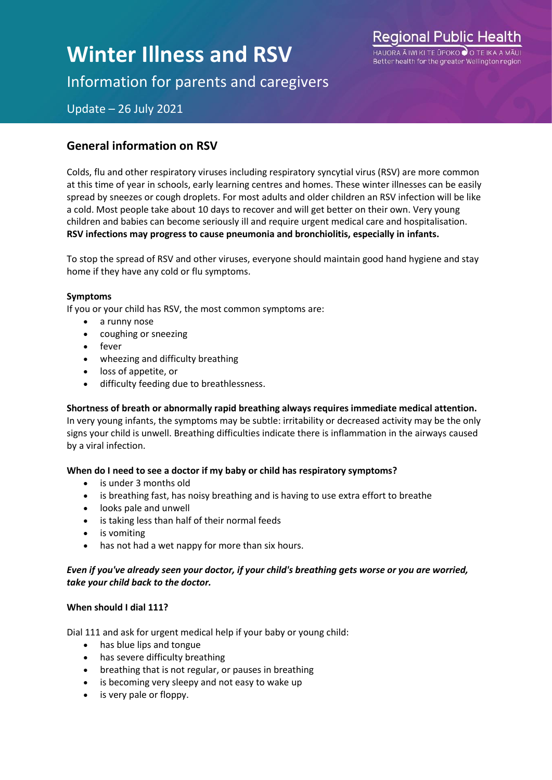# **Winter Illness and RSV**

Regional Public Health  $H$ ALIORA À IWI KI TE LIPOKO O O Better health for the greater Wellington region

Information for parents and caregivers

Update – 26 July 2021

### **General information on RSV**

Colds, flu and other respiratory viruses including respiratory syncytial virus (RSV) are more common at this time of year in schools, early learning centres and homes. These winter illnesses can be easily spread by sneezes or cough droplets. For most adults and older children an RSV infection will be like a cold. Most people take about 10 days to recover and will get better on their own. Very young children and babies can become seriously ill and require urgent medical care and hospitalisation. **RSV infections may progress to cause pneumonia and bronchiolitis, especially in infants.**

To stop the spread of RSV and other viruses, everyone should maintain good hand hygiene and stay home if they have any cold or flu symptoms.

#### **Symptoms**

If you or your child has RSV, the most common symptoms are:

- a runny nose
- coughing or sneezing
- fever
- wheezing and difficulty breathing
- loss of appetite, or
- difficulty feeding due to breathlessness.

**Shortness of breath or abnormally rapid breathing always requires immediate medical attention.** In very young infants, the symptoms may be subtle: irritability or decreased activity may be the only signs your child is unwell. Breathing difficulties indicate there is inflammation in the airways caused by a viral infection.

#### **When do I need to see a doctor if my baby or child has respiratory symptoms?**

- is under 3 months old
- is breathing fast, has noisy breathing and is having to use extra effort to breathe
- looks pale and unwell
- is taking less than half of their normal feeds
- is vomiting
- has not had a wet nappy for more than six hours.

#### *Even if you've already seen your doctor, if your child's breathing gets worse or you are worried, take your child back to the doctor.*

#### **When should I dial 111?**

Dial 111 and ask for urgent medical help if your baby or young child:

- has blue lips and tongue
- has severe difficulty breathing
- breathing that is not regular, or pauses in breathing
- is becoming very sleepy and not easy to wake up
- is very pale or floppy.